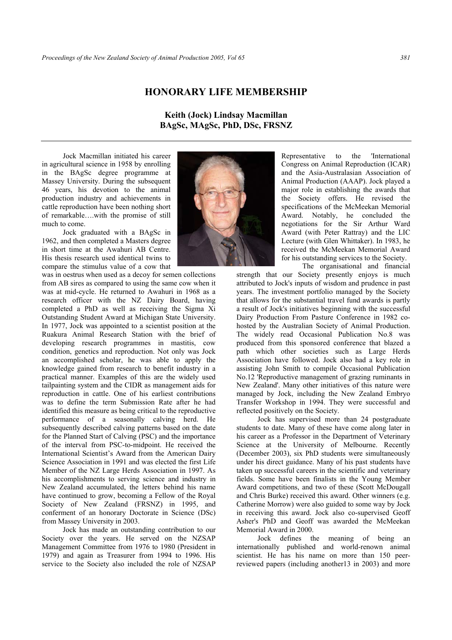## **HONORARY LIFE MEMBERSHIP**

**Keith (Jock) Lindsay Macmillan BAgSc, MAgSc, PhD, DSc, FRSNZ** 

Jock Macmillan initiated his career in agricultural science in 1958 by enrolling in the BAgSc degree programme at Massey University. During the subsequent 46 years, his devotion to the animal production industry and achievements in cattle reproduction have been nothing short of remarkable….with the promise of still much to come.

Jock graduated with a BAgSc in 1962, and then completed a Masters degree in short time at the Awahuri AB Centre. His thesis research used identical twins to compare the stimulus value of a cow that

was in oestrus when used as a decoy for semen collections from AB sires as compared to using the same cow when it was at mid-cycle. He returned to Awahuri in 1968 as a research officer with the NZ Dairy Board, having completed a PhD as well as receiving the Sigma Xi Outstanding Student Award at Michigan State University. In 1977, Jock was appointed to a scientist position at the Ruakura Animal Research Station with the brief of developing research programmes in mastitis, cow condition, genetics and reproduction. Not only was Jock an accomplished scholar, he was able to apply the knowledge gained from research to benefit industry in a practical manner. Examples of this are the widely used tailpainting system and the CIDR as management aids for reproduction in cattle. One of his earliest contributions was to define the term Submission Rate after he had identified this measure as being critical to the reproductive performance of a seasonally calving herd. He subsequently described calving patterns based on the date for the Planned Start of Calving (PSC) and the importance of the interval from PSC-to-midpoint. He received the International Scientist's Award from the American Dairy Science Association in 1991 and was elected the first Life Member of the NZ Large Herds Association in 1997. As his accomplishments to serving science and industry in New Zealand accumulated, the letters behind his name have continued to grow, becoming a Fellow of the Royal Society of New Zealand (FRSNZ) in 1995, and conferment of an honorary Doctorate in Science (DSc) from Massey University in 2003.

Jock has made an outstanding contribution to our Society over the years. He served on the NZSAP Management Committee from 1976 to 1980 (President in 1979) and again as Treasurer from 1994 to 1996. His service to the Society also included the role of NZSAP



Representative to the 'International Congress on Animal Reproduction (ICAR) and the Asia-Australasian Association of Animal Production (AAAP). Jock played a major role in establishing the awards that the Society offers. He revised the specifications of the McMeekan Memorial Award. Notably, he concluded the negotiations for the Sir Arthur Ward Award (with Peter Rattray) and the LIC Lecture (with Glen Whittaker). In 1983, he received the McMeekan Memorial Award for his outstanding services to the Society.

The organisational and financial

strength that our Society presently enjoys is much attributed to Jock's inputs of wisdom and prudence in past years. The investment portfolio managed by the Society that allows for the substantial travel fund awards is partly a result of Jock's initiatives beginning with the successful Dairy Production From Pasture Conference in 1982 cohosted by the Australian Society of Animal Production. The widely read Occasional Publication No.8 was produced from this sponsored conference that blazed a path which other societies such as Large Herds Association have followed. Jock also had a key role in assisting John Smith to compile Occasional Publication No.12 'Reproductive management of grazing ruminants in New Zealand'. Many other initiatives of this nature were managed by Jock, including the New Zealand Embryo Transfer Workshop in 1994. They were successful and reflected positively on the Society.

Jock has supervised more than 24 postgraduate students to date. Many of these have come along later in his career as a Professor in the Department of Veterinary Science at the University of Melbourne. Recently (December 2003), six PhD students were simultaneously under his direct guidance. Many of his past students have taken up successful careers in the scientific and veterinary fields. Some have been finalists in the Young Member Award competitions, and two of these (Scott McDougall and Chris Burke) received this award. Other winners (e.g. Catherine Morrow) were also guided to some way by Jock in receiving this award. Jock also co-supervised Geoff Asher's PhD and Geoff was awarded the McMeekan Memorial Award in 2000.

Jock defines the meaning of being an internationally published and world-renown animal scientist. He has his name on more than 150 peerreviewed papers (including another13 in 2003) and more